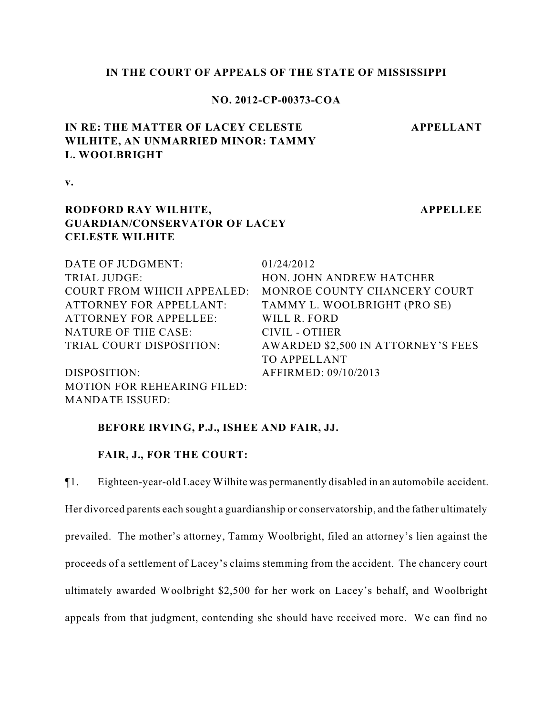## **IN THE COURT OF APPEALS OF THE STATE OF MISSISSIPPI**

### **NO. 2012-CP-00373-COA**

# **IN RE: THE MATTER OF LACEY CELESTE WILHITE, AN UNMARRIED MINOR: TAMMY L. WOOLBRIGHT**

**v.**

## **RODFORD RAY WILHITE, GUARDIAN/CONSERVATOR OF LACEY CELESTE WILHITE**

**APPELLEE**

**APPELLANT**

| DATE OF JUDGMENT:                  | 01/24/2012                         |
|------------------------------------|------------------------------------|
| TRIAL JUDGE:                       | HON. JOHN ANDREW HATCHER           |
| <b>COURT FROM WHICH APPEALED:</b>  | MONROE COUNTY CHANCERY COURT       |
| <b>ATTORNEY FOR APPELLANT:</b>     | TAMMY L. WOOLBRIGHT (PRO SE)       |
| <b>ATTORNEY FOR APPELLEE:</b>      | WILL R. FORD                       |
| NATURE OF THE CASE:                | CIVIL - OTHER                      |
| TRIAL COURT DISPOSITION:           | AWARDED \$2,500 IN ATTORNEY'S FEES |
|                                    | <b>TO APPELLANT</b>                |
| DISPOSITION:                       | AFFIRMED: 09/10/2013               |
| <b>MOTION FOR REHEARING FILED:</b> |                                    |

## **BEFORE IRVING, P.J., ISHEE AND FAIR, JJ.**

### **FAIR, J., FOR THE COURT:**

MANDATE ISSUED:

¶1. Eighteen-year-old Lacey Wilhite was permanently disabled in an automobile accident. Her divorced parents each sought a guardianship or conservatorship, and the father ultimately prevailed. The mother's attorney, Tammy Woolbright, filed an attorney's lien against the proceeds of a settlement of Lacey's claims stemming from the accident. The chancery court ultimately awarded Woolbright \$2,500 for her work on Lacey's behalf, and Woolbright appeals from that judgment, contending she should have received more. We can find no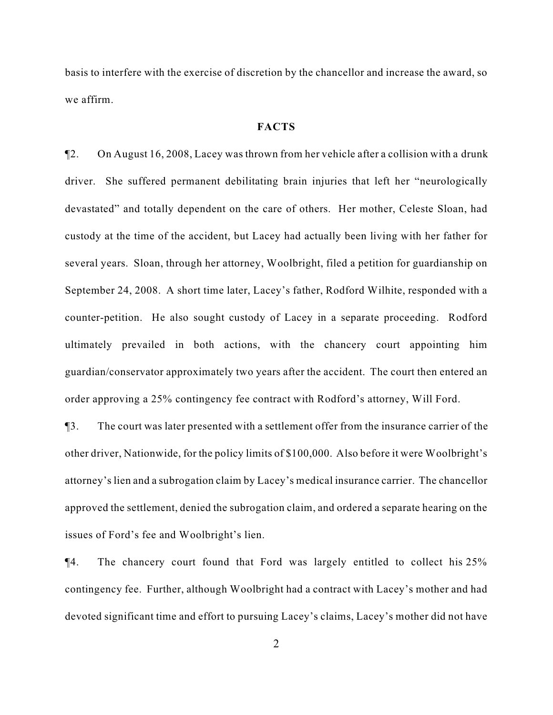basis to interfere with the exercise of discretion by the chancellor and increase the award, so we affirm.

#### **FACTS**

¶2. On August 16, 2008, Lacey was thrown from her vehicle after a collision with a drunk driver. She suffered permanent debilitating brain injuries that left her "neurologically devastated" and totally dependent on the care of others. Her mother, Celeste Sloan, had custody at the time of the accident, but Lacey had actually been living with her father for several years. Sloan, through her attorney, Woolbright, filed a petition for guardianship on September 24, 2008. A short time later, Lacey's father, Rodford Wilhite, responded with a counter-petition. He also sought custody of Lacey in a separate proceeding. Rodford ultimately prevailed in both actions, with the chancery court appointing him guardian/conservator approximately two years after the accident. The court then entered an order approving a 25% contingency fee contract with Rodford's attorney, Will Ford.

¶3. The court was later presented with a settlement offer from the insurance carrier of the other driver, Nationwide, for the policy limits of \$100,000. Also before it were Woolbright's attorney's lien and a subrogation claim by Lacey's medical insurance carrier. The chancellor approved the settlement, denied the subrogation claim, and ordered a separate hearing on the issues of Ford's fee and Woolbright's lien.

¶4. The chancery court found that Ford was largely entitled to collect his 25% contingency fee. Further, although Woolbright had a contract with Lacey's mother and had devoted significant time and effort to pursuing Lacey's claims, Lacey's mother did not have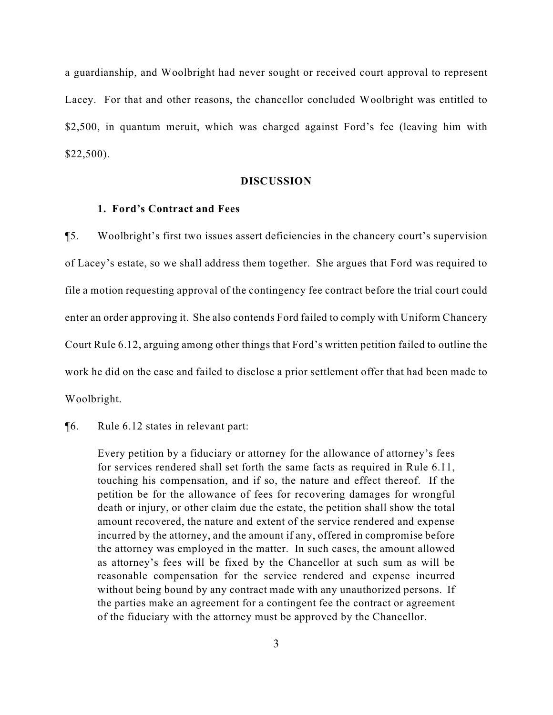a guardianship, and Woolbright had never sought or received court approval to represent Lacey. For that and other reasons, the chancellor concluded Woolbright was entitled to \$2,500, in quantum meruit, which was charged against Ford's fee (leaving him with \$22,500).

#### **DISCUSSION**

#### **1. Ford's Contract and Fees**

¶5. Woolbright's first two issues assert deficiencies in the chancery court's supervision of Lacey's estate, so we shall address them together. She argues that Ford was required to file a motion requesting approval of the contingency fee contract before the trial court could enter an order approving it. She also contends Ford failed to comply with Uniform Chancery Court Rule 6.12, arguing among other things that Ford's written petition failed to outline the work he did on the case and failed to disclose a prior settlement offer that had been made to Woolbright.

## ¶6. Rule 6.12 states in relevant part:

Every petition by a fiduciary or attorney for the allowance of attorney's fees for services rendered shall set forth the same facts as required in Rule 6.11, touching his compensation, and if so, the nature and effect thereof. If the petition be for the allowance of fees for recovering damages for wrongful death or injury, or other claim due the estate, the petition shall show the total amount recovered, the nature and extent of the service rendered and expense incurred by the attorney, and the amount if any, offered in compromise before the attorney was employed in the matter. In such cases, the amount allowed as attorney's fees will be fixed by the Chancellor at such sum as will be reasonable compensation for the service rendered and expense incurred without being bound by any contract made with any unauthorized persons. If the parties make an agreement for a contingent fee the contract or agreement of the fiduciary with the attorney must be approved by the Chancellor.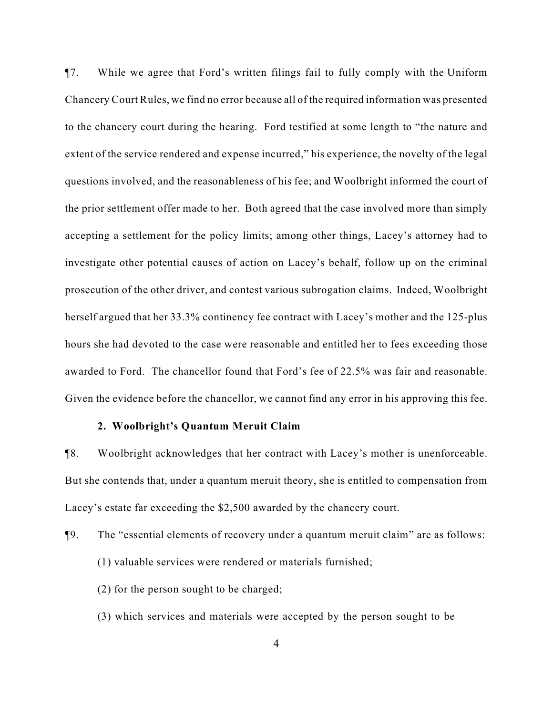¶7. While we agree that Ford's written filings fail to fully comply with the Uniform Chancery Court Rules, we find no error because all of the required information was presented to the chancery court during the hearing. Ford testified at some length to "the nature and extent of the service rendered and expense incurred," his experience, the novelty of the legal questions involved, and the reasonableness of his fee; and Woolbright informed the court of the prior settlement offer made to her. Both agreed that the case involved more than simply accepting a settlement for the policy limits; among other things, Lacey's attorney had to investigate other potential causes of action on Lacey's behalf, follow up on the criminal prosecution of the other driver, and contest various subrogation claims. Indeed, Woolbright herself argued that her 33.3% continency fee contract with Lacey's mother and the 125-plus hours she had devoted to the case were reasonable and entitled her to fees exceeding those awarded to Ford. The chancellor found that Ford's fee of 22.5% was fair and reasonable. Given the evidence before the chancellor, we cannot find any error in his approving this fee.

#### **2. Woolbright's Quantum Meruit Claim**

¶8. Woolbright acknowledges that her contract with Lacey's mother is unenforceable. But she contends that, under a quantum meruit theory, she is entitled to compensation from Lacey's estate far exceeding the \$2,500 awarded by the chancery court.

- ¶9. The "essential elements of recovery under a quantum meruit claim" are as follows:
	- (1) valuable services were rendered or materials furnished;
	- (2) for the person sought to be charged;
	- (3) which services and materials were accepted by the person sought to be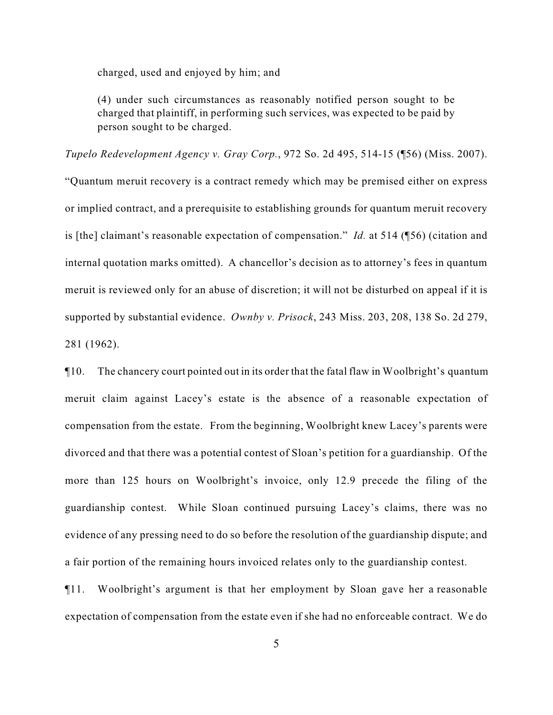charged, used and enjoyed by him; and

(4) under such circumstances as reasonably notified person sought to be charged that plaintiff, in performing such services, was expected to be paid by person sought to be charged.

*Tupelo Redevelopment Agency v. Gray Corp.*, 972 So. 2d 495, 514-15 (¶56) (Miss. 2007).

"Quantum meruit recovery is a contract remedy which may be premised either on express or implied contract, and a prerequisite to establishing grounds for quantum meruit recovery is [the] claimant's reasonable expectation of compensation." *Id.* at 514 (¶56) (citation and internal quotation marks omitted). A chancellor's decision as to attorney's fees in quantum meruit is reviewed only for an abuse of discretion; it will not be disturbed on appeal if it is supported by substantial evidence. *Ownby v. Prisock*, 243 Miss. 203, 208, 138 So. 2d 279, 281 (1962).

¶10. The chancery court pointed out in its order that the fatal flaw in Woolbright's quantum meruit claim against Lacey's estate is the absence of a reasonable expectation of compensation from the estate. From the beginning, Woolbright knew Lacey's parents were divorced and that there was a potential contest of Sloan's petition for a guardianship. Of the more than 125 hours on Woolbright's invoice, only 12.9 precede the filing of the guardianship contest. While Sloan continued pursuing Lacey's claims, there was no evidence of any pressing need to do so before the resolution of the guardianship dispute; and a fair portion of the remaining hours invoiced relates only to the guardianship contest.

¶11. Woolbright's argument is that her employment by Sloan gave her a reasonable expectation of compensation from the estate even if she had no enforceable contract. We do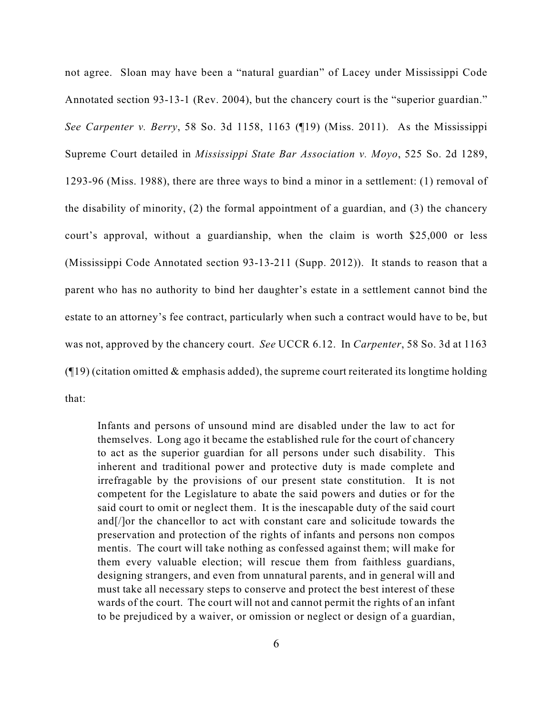not agree. Sloan may have been a "natural guardian" of Lacey under Mississippi Code Annotated section 93-13-1 (Rev. 2004), but the chancery court is the "superior guardian." *See Carpenter v. Berry*, 58 So. 3d 1158, 1163 (¶19) (Miss. 2011). As the Mississippi Supreme Court detailed in *Mississippi State Bar Association v. Moyo*, 525 So. 2d 1289, 1293-96 (Miss. 1988), there are three ways to bind a minor in a settlement: (1) removal of the disability of minority, (2) the formal appointment of a guardian, and (3) the chancery court's approval, without a guardianship, when the claim is worth \$25,000 or less (Mississippi Code Annotated section 93-13-211 (Supp. 2012)). It stands to reason that a parent who has no authority to bind her daughter's estate in a settlement cannot bind the estate to an attorney's fee contract, particularly when such a contract would have to be, but was not, approved by the chancery court. *See* UCCR 6.12. In *Carpenter*, 58 So. 3d at 1163  $($ [19) (citation omitted & emphasis added), the supreme court reiterated its longtime holding that:

Infants and persons of unsound mind are disabled under the law to act for themselves. Long ago it became the established rule for the court of chancery to act as the superior guardian for all persons under such disability. This inherent and traditional power and protective duty is made complete and irrefragable by the provisions of our present state constitution. It is not competent for the Legislature to abate the said powers and duties or for the said court to omit or neglect them. It is the inescapable duty of the said court and[/]or the chancellor to act with constant care and solicitude towards the preservation and protection of the rights of infants and persons non compos mentis. The court will take nothing as confessed against them; will make for them every valuable election; will rescue them from faithless guardians, designing strangers, and even from unnatural parents, and in general will and must take all necessary steps to conserve and protect the best interest of these wards of the court. The court will not and cannot permit the rights of an infant to be prejudiced by a waiver, or omission or neglect or design of a guardian,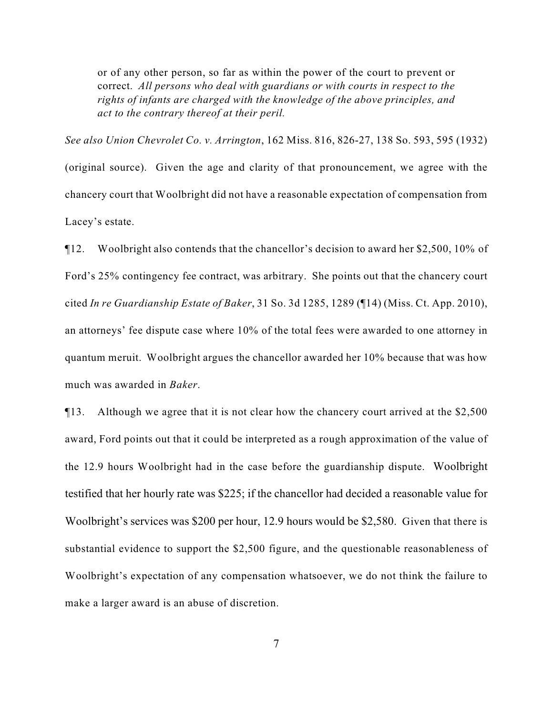or of any other person, so far as within the power of the court to prevent or correct. *All persons who deal with guardians or with courts in respect to the rights of infants are charged with the knowledge of the above principles, and act to the contrary thereof at their peril.*

*See also Union Chevrolet Co. v. Arrington*, 162 Miss. 816, 826-27, 138 So. 593, 595 (1932) (original source). Given the age and clarity of that pronouncement, we agree with the chancery court that Woolbright did not have a reasonable expectation of compensation from Lacey's estate.

¶12. Woolbright also contends that the chancellor's decision to award her \$2,500, 10% of Ford's 25% contingency fee contract, was arbitrary. She points out that the chancery court cited *In re Guardianship Estate of Baker*, 31 So. 3d 1285, 1289 (¶14) (Miss. Ct. App. 2010), an attorneys' fee dispute case where 10% of the total fees were awarded to one attorney in quantum meruit. Woolbright argues the chancellor awarded her 10% because that was how much was awarded in *Baker*.

¶13. Although we agree that it is not clear how the chancery court arrived at the \$2,500 award, Ford points out that it could be interpreted as a rough approximation of the value of the 12.9 hours Woolbright had in the case before the guardianship dispute. Woolbright testified that her hourly rate was \$225; if the chancellor had decided a reasonable value for Woolbright's services was \$200 per hour, 12.9 hours would be \$2,580. Given that there is substantial evidence to support the \$2,500 figure, and the questionable reasonableness of Woolbright's expectation of any compensation whatsoever, we do not think the failure to make a larger award is an abuse of discretion.